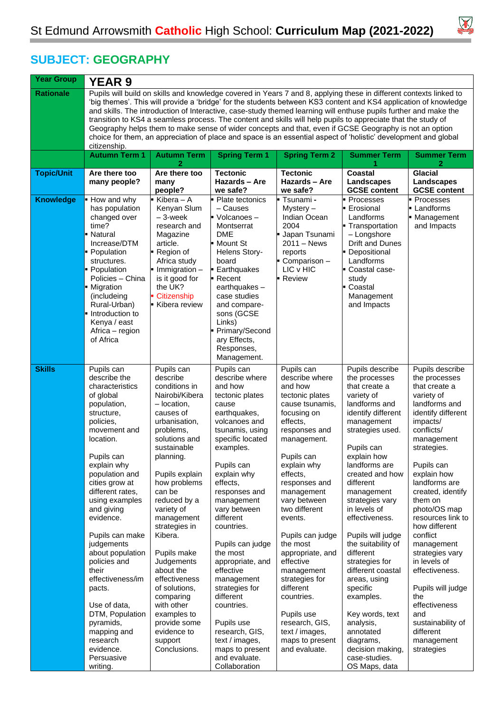

## **SUBJECT: GEOGRAPHY**

| <b>Year Group</b> | <b>YEAR 9</b>                                                                                                                                                                                                                                                                                                                                                                                                                                                                                                                                                                                                                                                                                                            |                                                                                                                                                                                                                                                                                                                                                                                                                                                                      |                                                                                                                                                                                                                                                                                                                                                                                                                                                                                                                |                                                                                                                                                                                                                                                                                                                                                                                                                                                                                |                                                                                                                                                                                                                                                                                                                                                                                                                                                                                                                                                   |                                                                                                                                                                                                                                                                                                                                                                                                                                                                                                    |  |  |  |
|-------------------|--------------------------------------------------------------------------------------------------------------------------------------------------------------------------------------------------------------------------------------------------------------------------------------------------------------------------------------------------------------------------------------------------------------------------------------------------------------------------------------------------------------------------------------------------------------------------------------------------------------------------------------------------------------------------------------------------------------------------|----------------------------------------------------------------------------------------------------------------------------------------------------------------------------------------------------------------------------------------------------------------------------------------------------------------------------------------------------------------------------------------------------------------------------------------------------------------------|----------------------------------------------------------------------------------------------------------------------------------------------------------------------------------------------------------------------------------------------------------------------------------------------------------------------------------------------------------------------------------------------------------------------------------------------------------------------------------------------------------------|--------------------------------------------------------------------------------------------------------------------------------------------------------------------------------------------------------------------------------------------------------------------------------------------------------------------------------------------------------------------------------------------------------------------------------------------------------------------------------|---------------------------------------------------------------------------------------------------------------------------------------------------------------------------------------------------------------------------------------------------------------------------------------------------------------------------------------------------------------------------------------------------------------------------------------------------------------------------------------------------------------------------------------------------|----------------------------------------------------------------------------------------------------------------------------------------------------------------------------------------------------------------------------------------------------------------------------------------------------------------------------------------------------------------------------------------------------------------------------------------------------------------------------------------------------|--|--|--|
| <b>Rationale</b>  | Pupils will build on skills and knowledge covered in Years 7 and 8, applying these in different contexts linked to<br>'big themes'. This will provide a 'bridge' for the students between KS3 content and KS4 application of knowledge<br>and skills. The introduction of Interactive, case-study themed learning will enthuse pupils further and make the<br>transition to KS4 a seamless process. The content and skills will help pupils to appreciate that the study of<br>Geography helps them to make sense of wider concepts and that, even if GCSE Geography is not an option<br>choice for them, an appreciation of place and space is an essential aspect of 'holistic' development and global<br>citizenship. |                                                                                                                                                                                                                                                                                                                                                                                                                                                                      |                                                                                                                                                                                                                                                                                                                                                                                                                                                                                                                |                                                                                                                                                                                                                                                                                                                                                                                                                                                                                |                                                                                                                                                                                                                                                                                                                                                                                                                                                                                                                                                   |                                                                                                                                                                                                                                                                                                                                                                                                                                                                                                    |  |  |  |
|                   | <b>Autumn Term 1</b>                                                                                                                                                                                                                                                                                                                                                                                                                                                                                                                                                                                                                                                                                                     | <b>Autumn Term</b>                                                                                                                                                                                                                                                                                                                                                                                                                                                   | <b>Spring Term 1</b>                                                                                                                                                                                                                                                                                                                                                                                                                                                                                           | <b>Spring Term 2</b>                                                                                                                                                                                                                                                                                                                                                                                                                                                           | <b>Summer Term</b>                                                                                                                                                                                                                                                                                                                                                                                                                                                                                                                                | <b>Summer Term</b><br>2                                                                                                                                                                                                                                                                                                                                                                                                                                                                            |  |  |  |
| <b>Topic/Unit</b> | Are there too<br>many people?                                                                                                                                                                                                                                                                                                                                                                                                                                                                                                                                                                                                                                                                                            | Are there too<br>many<br>people?                                                                                                                                                                                                                                                                                                                                                                                                                                     | <b>Tectonic</b><br>Hazards - Are<br>we safe?                                                                                                                                                                                                                                                                                                                                                                                                                                                                   | <b>Tectonic</b><br>Hazards - Are<br>we safe?                                                                                                                                                                                                                                                                                                                                                                                                                                   | Coastal<br>Landscapes<br><b>GCSE content</b>                                                                                                                                                                                                                                                                                                                                                                                                                                                                                                      | <b>Glacial</b><br>Landscapes<br><b>GCSE content</b>                                                                                                                                                                                                                                                                                                                                                                                                                                                |  |  |  |
| <b>Knowledge</b>  | How and why<br>has population<br>changed over<br>time?<br>Natural<br>Increase/DTM<br>• Population<br>structures.<br>Population<br>Policies - China<br>• Migration<br>(includeing<br>Rural-Urban)<br>Introduction to<br>Kenya / east<br>Africa - region<br>of Africa                                                                                                                                                                                                                                                                                                                                                                                                                                                      | Kibera - A<br>Kenyan Slum<br>$-3$ -week<br>research and<br>Magazine<br>article.<br>- Region of<br>Africa study<br>$\blacksquare$ Immigration $\blacksquare$<br>is it good for<br>the UK?<br>Citizenship<br>Kibera review                                                                                                                                                                                                                                             | • Plate tectonics<br>– Causes<br>Volcanoes-<br>Montserrat<br><b>DME</b><br>l■ Mount St<br>Helens Story-<br>board<br>Earthquakes<br>- Recent<br>earthquakes-<br>case studies<br>and compare-<br>sons (GCSE<br>Links)<br>Primary/Second<br>ary Effects,<br>Responses,<br>Management.                                                                                                                                                                                                                             | Tsunami-<br>Mystery-<br>Indian Ocean<br>2004<br>Japan Tsunami<br>$2011 - News$<br>reports<br>Comparison-<br>LIC v HIC<br><b>Review</b>                                                                                                                                                                                                                                                                                                                                         | Processes<br>Erosional<br>Landforms<br>Transportation<br>- Longshore<br>Drift and Dunes<br>Depositional<br>Landforms<br>Coastal case-<br>study<br>- Coastal<br>Management<br>and Impacts                                                                                                                                                                                                                                                                                                                                                          | Processes<br>Landforms<br>Management<br>and Impacts                                                                                                                                                                                                                                                                                                                                                                                                                                                |  |  |  |
| <b>Skills</b>     | Pupils can<br>describe the<br>characteristics<br>of global<br>population,<br>structure,<br>policies,<br>movement and<br>location.<br>Pupils can<br>explain why<br>population and<br>cities grow at<br>different rates,<br>using examples<br>and giving<br>evidence.<br>Pupils can make<br>judgements<br>about population<br>policies and<br>their<br>effectiveness/im<br>pacts.<br>Use of data,<br>DTM, Population<br>pyramids,<br>mapping and<br>research<br>evidence.<br>Persuasive<br>writing.                                                                                                                                                                                                                        | Pupils can<br>describe<br>conditions in<br>Nairobi/Kibera<br>- location,<br>causes of<br>urbanisation,<br>problems,<br>solutions and<br>sustainable<br>planning.<br>Pupils explain<br>how problems<br>can be<br>reduced by a<br>variety of<br>management<br>strategies in<br>Kibera.<br>Pupils make<br>Judgements<br>about the<br>effectiveness<br>of solutions,<br>comparing<br>with other<br>examples to<br>provide some<br>evidence to<br>support<br>Conclusions. | Pupils can<br>describe where<br>and how<br>tectonic plates<br>cause<br>earthquakes,<br>volcanoes and<br>tsunamis, using<br>specific located<br>examples.<br>Pupils can<br>explain why<br>effects,<br>responses and<br>management<br>vary between<br>different<br>countries.<br>Pupils can judge<br>the most<br>appropriate, and<br>effective<br>management<br>strategies for<br>different<br>countries.<br>Pupils use<br>research, GIS,<br>text / images,<br>maps to present<br>and evaluate.<br>Collaboration | Pupils can<br>describe where<br>and how<br>tectonic plates<br>cause tsunamis,<br>focusing on<br>effects.<br>responses and<br>management.<br>Pupils can<br>explain why<br>effects,<br>responses and<br>management<br>vary between<br>two different<br>events.<br>Pupils can judge<br>the most<br>appropriate, and<br>effective<br>management<br>strategies for<br>different<br>countries.<br>Pupils use<br>research, GIS,<br>text / images,<br>maps to present<br>and evaluate. | Pupils describe<br>the processes<br>that create a<br>variety of<br>landforms and<br>identify different<br>management<br>strategies used.<br>Pupils can<br>explain how<br>landforms are<br>created and how<br>different<br>management<br>strategies vary<br>in levels of<br>effectiveness.<br>Pupils will judge<br>the suitability of<br>different<br>strategies for<br>different coastal<br>areas, using<br>specific<br>examples.<br>Key words, text<br>analysis,<br>annotated<br>diagrams,<br>decision making,<br>case-studies.<br>OS Maps, data | Pupils describe<br>the processes<br>that create a<br>variety of<br>landforms and<br>identify different<br>impacts/<br>conflicts/<br>management<br>strategies.<br>Pupils can<br>explain how<br>landforms are<br>created, identify<br>them on<br>photo/OS map<br>resources link to<br>how different<br>conflict<br>management<br>strategies vary<br>in levels of<br>effectiveness.<br>Pupils will judge<br>the<br>effectiveness<br>and<br>sustainability of<br>different<br>management<br>strategies |  |  |  |